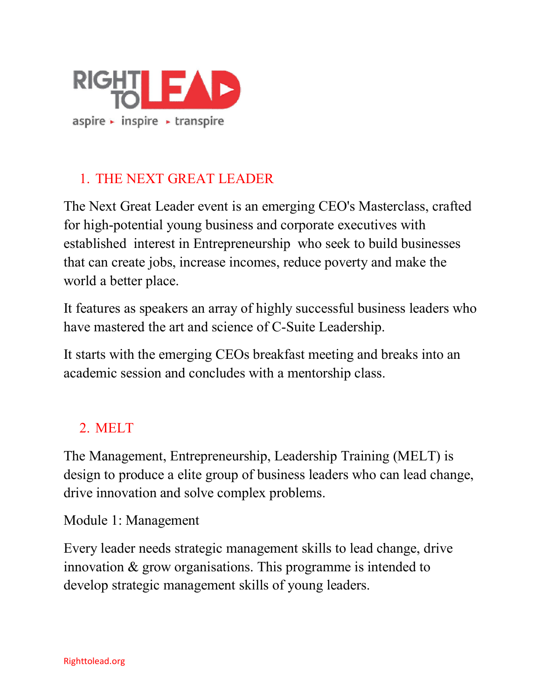

# 1. THE NEXT GREAT LEADER

The Next Great Leader event is an emerging CEO's Masterclass, crafted for high-potential young business and corporate executives with established interest in Entrepreneurship who seek to build businesses that can create jobs, increase incomes, reduce poverty and make the world a better place.

It features as speakers an array of highly successful business leaders who have mastered the art and science of C-Suite Leadership.

It starts with the emerging CEOs breakfast meeting and breaks into an academic session and concludes with a mentorship class.

## 2. MELT

The Management, Entrepreneurship, Leadership Training (MELT) is design to produce a elite group of business leaders who can lead change, drive innovation and solve complex problems.

Module 1: Management

Every leader needs strategic management skills to lead change, drive innovation & grow organisations. This programme is intended to develop strategic management skills of young leaders.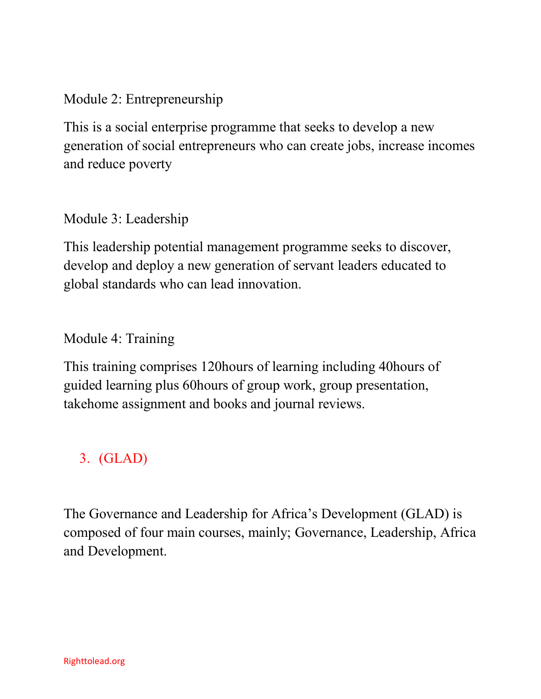### Module 2: Entrepreneurship

This is a social enterprise programme that seeks to develop a new generation of social entrepreneurs who can create jobs, increase incomes and reduce poverty

### Module 3: Leadership

This leadership potential management programme seeks to discover, develop and deploy a new generation of servant leaders educated to global standards who can lead innovation.

### Module 4: Training

This training comprises 120hours of learning including 40hours of guided learning plus 60hours of group work, group presentation, takehome assignment and books and journal reviews.

## 3. (GLAD)

The Governance and Leadership for Africa's Development (GLAD) is composed of four main courses, mainly; Governance, Leadership, Africa and Development.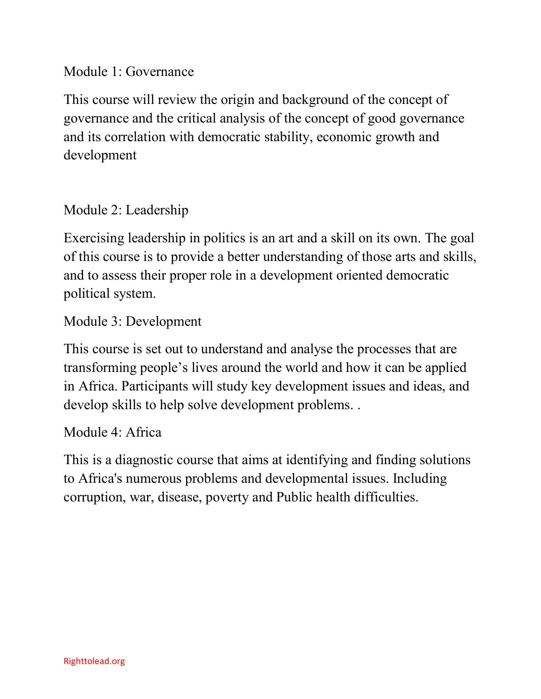### Module 1: Governance

This course will review the origin and background of the concept of governance and the critical analysis of the concept of good governance and its correlation with democratic stability, economic growth and development

### Module 2: Leadership

Exercising leadership in politics is an art and a skill on its own. The goal of this course is to provide a better understanding of those arts and skills, and to assess their proper role in a development oriented democratic political system.

Module 3: Development

This course is set out to understand and analyse the processes that are transforming people's lives around the world and how it can be applied in Africa. Participants will study key development issues and ideas, and develop skills to help solve development problems. .

#### Module 4: Africa

This is a diagnostic course that aims at identifying and finding solutions to Africa's numerous problems and developmental issues. Including corruption, war, disease, poverty and Public health difficulties.